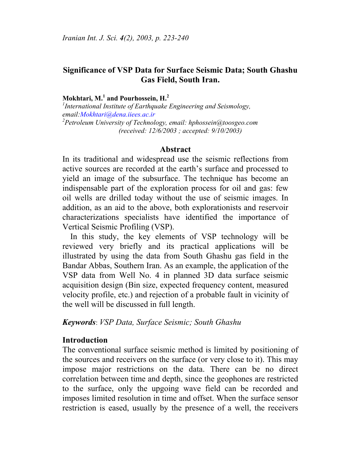# **Significance of VSP Data for Surface Seismic Data; South Ghashu Gas Field, South Iran.**

#### **Mokhtari, M.<sup>1</sup> and Pourhossein, H.<sup>2</sup>**

*1 International Institute of Earthquake Engineering and Seismology, email:Mokhtari@dena.iiees.ac.ir 2 Petroleum University of Technology, email: hphossein@toosgeo.com (received: 12/6/2003 ; accepted: 9/10/2003)*

#### **Abstract**

In its traditional and widespread use the seismic reflections from active sources are recorded at the earth's surface and processed to yield an image of the subsurface. The technique has become an indispensable part of the exploration process for oil and gas: few oil wells are drilled today without the use of seismic images. In addition, as an aid to the above, both explorationists and reservoir characterizations specialists have identified the importance of Vertical Seismic Profiling (VSP).

In this study, the key elements of VSP technology will be reviewed very briefly and its practical applications will be illustrated by using the data from South Ghashu gas field in the Bandar Abbas, Southern Iran. As an example, the application of the VSP data from Well No. 4 in planned 3D data surface seismic acquisition design (Bin size, expected frequency content, measured velocity profile, etc.) and rejection of a probable fault in vicinity of the well will be discussed in full length.

### *Keywords*: *VSP Data, Surface Seismic; South Ghashu*

#### **Introduction**

The conventional surface seismic method is limited by positioning of the sources and receivers on the surface (or very close to it). This may impose major restrictions on the data. There can be no direct correlation between time and depth, since the geophones are restricted to the surface, only the upgoing wave field can be recorded and imposes limited resolution in time and offset. When the surface sensor restriction is eased, usually by the presence of a well, the receivers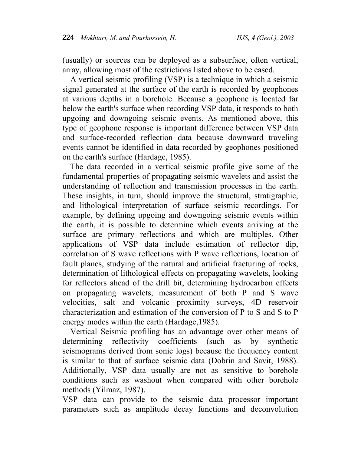(usually) or sources can be deployed as a subsurface, often vertical, array, allowing most of the restrictions listed above to be eased.

 $\mathcal{L}_\text{max} = \mathcal{L}_\text{max} = \mathcal{L}_\text{max} = \mathcal{L}_\text{max} = \mathcal{L}_\text{max} = \mathcal{L}_\text{max} = \mathcal{L}_\text{max} = \mathcal{L}_\text{max} = \mathcal{L}_\text{max} = \mathcal{L}_\text{max} = \mathcal{L}_\text{max} = \mathcal{L}_\text{max} = \mathcal{L}_\text{max} = \mathcal{L}_\text{max} = \mathcal{L}_\text{max} = \mathcal{L}_\text{max} = \mathcal{L}_\text{max} = \mathcal{L}_\text{max} = \mathcal{$ 

 A vertical seismic profiling (VSP) is a technique in which a seismic signal generated at the surface of the earth is recorded by geophones at various depths in a borehole. Because a geophone is located far below the earth's surface when recording VSP data, it responds to both upgoing and downgoing seismic events. As mentioned above, this type of geophone response is important difference between VSP data and surface-recorded reflection data because downward traveling events cannot be identified in data recorded by geophones positioned on the earth's surface (Hardage, 1985).

The data recorded in a vertical seismic profile give some of the fundamental properties of propagating seismic wavelets and assist the understanding of reflection and transmission processes in the earth. These insights, in turn, should improve the structural, stratigraphic, and lithological interpretation of surface seismic recordings. For example, by defining upgoing and downgoing seismic events within the earth, it is possible to determine which events arriving at the surface are primary reflections and which are multiples. Other applications of VSP data include estimation of reflector dip, correlation of S wave reflections with P wave reflections, location of fault planes, studying of the natural and artificial fracturing of rocks, determination of lithological effects on propagating wavelets, looking for reflectors ahead of the drill bit, determining hydrocarbon effects on propagating wavelets, measurement of both P and S wave velocities, salt and volcanic proximity surveys, 4D reservoir characterization and estimation of the conversion of P to S and S to P energy modes within the earth (Hardage,1985).

Vertical Seismic profiling has an advantage over other means of determining reflectivity coefficients (such as by synthetic seismograms derived from sonic logs) because the frequency content is similar to that of surface seismic data (Dobrin and Savit, 1988). Additionally, VSP data usually are not as sensitive to borehole conditions such as washout when compared with other borehole methods (Yilmaz, 1987).

VSP data can provide to the seismic data processor important parameters such as amplitude decay functions and deconvolution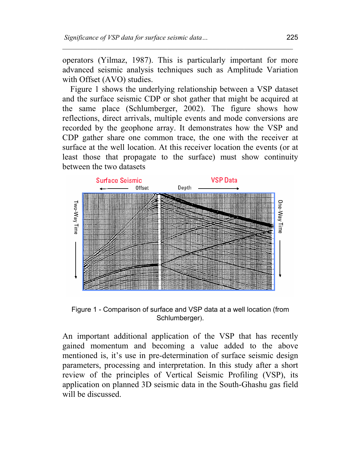operators (Yilmaz, 1987). This is particularly important for more advanced seismic analysis techniques such as Amplitude Variation with Offset (AVO) studies.

 $\mathcal{L}_\text{max} = \mathcal{L}_\text{max} = \mathcal{L}_\text{max} = \mathcal{L}_\text{max} = \mathcal{L}_\text{max} = \mathcal{L}_\text{max} = \mathcal{L}_\text{max} = \mathcal{L}_\text{max} = \mathcal{L}_\text{max} = \mathcal{L}_\text{max} = \mathcal{L}_\text{max} = \mathcal{L}_\text{max} = \mathcal{L}_\text{max} = \mathcal{L}_\text{max} = \mathcal{L}_\text{max} = \mathcal{L}_\text{max} = \mathcal{L}_\text{max} = \mathcal{L}_\text{max} = \mathcal{$ 

Figure 1 shows the underlying relationship between a VSP dataset and the surface seismic CDP or shot gather that might be acquired at the same place (Schlumberger, 2002). The figure shows how reflections, direct arrivals, multiple events and mode conversions are recorded by the geophone array. It demonstrates how the VSP and CDP gather share one common trace, the one with the receiver at surface at the well location. At this receiver location the events (or at least those that propagate to the surface) must show continuity between the two datasets



Figure 1 - Comparison of surface and VSP data at a well location (from Schlumberger).

An important additional application of the VSP that has recently gained momentum and becoming a value added to the above mentioned is, it's use in pre-determination of surface seismic design parameters, processing and interpretation. In this study after a short review of the principles of Vertical Seismic Profiling (VSP), its application on planned 3D seismic data in the South-Ghashu gas field will be discussed.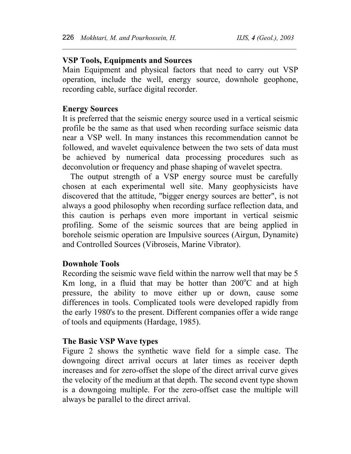## **VSP Tools, Equipments and Sources**

Main Equipment and physical factors that need to carry out VSP operation, include the well, energy source, downhole geophone, recording cable, surface digital recorder.

 $\mathcal{L}_\text{max} = \mathcal{L}_\text{max} = \mathcal{L}_\text{max} = \mathcal{L}_\text{max} = \mathcal{L}_\text{max} = \mathcal{L}_\text{max} = \mathcal{L}_\text{max} = \mathcal{L}_\text{max} = \mathcal{L}_\text{max} = \mathcal{L}_\text{max} = \mathcal{L}_\text{max} = \mathcal{L}_\text{max} = \mathcal{L}_\text{max} = \mathcal{L}_\text{max} = \mathcal{L}_\text{max} = \mathcal{L}_\text{max} = \mathcal{L}_\text{max} = \mathcal{L}_\text{max} = \mathcal{$ 

# **Energy Sources**

It is preferred that the seismic energy source used in a vertical seismic profile be the same as that used when recording surface seismic data near a VSP well. In many instances this recommendation cannot be followed, and wavelet equivalence between the two sets of data must be achieved by numerical data processing procedures such as deconvolution or frequency and phase shaping of wavelet spectra.

The output strength of a VSP energy source must be carefully chosen at each experimental well site. Many geophysicists have discovered that the attitude, "bigger energy sources are better", is not always a good philosophy when recording surface reflection data, and this caution is perhaps even more important in vertical seismic profiling. Some of the seismic sources that are being applied in borehole seismic operation are Impulsive sources (Airgun, Dynamite) and Controlled Sources (Vibroseis, Marine Vibrator).

#### **Downhole Tools**

Recording the seismic wave field within the narrow well that may be 5 Km long, in a fluid that may be hotter than  $200^{\circ}$ C and at high pressure, the ability to move either up or down, cause some differences in tools. Complicated tools were developed rapidly from the early 1980's to the present. Different companies offer a wide range of tools and equipments (Hardage, 1985).

### **The Basic VSP Wave types**

Figure 2 shows the synthetic wave field for a simple case. The downgoing direct arrival occurs at later times as receiver depth increases and for zero-offset the slope of the direct arrival curve gives the velocity of the medium at that depth. The second event type shown is a downgoing multiple. For the zero-offset case the multiple will always be parallel to the direct arrival.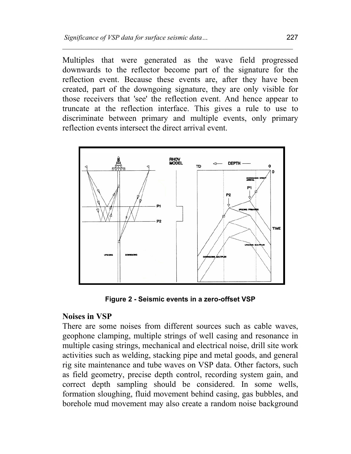Multiples that were generated as the wave field progressed downwards to the reflector become part of the signature for the reflection event. Because these events are, after they have been created, part of the downgoing signature, they are only visible for those receivers that 'see' the reflection event. And hence appear to truncate at the reflection interface. This gives a rule to use to discriminate between primary and multiple events, only primary reflection events intersect the direct arrival event.

 $\mathcal{L}_\text{max} = \mathcal{L}_\text{max} = \mathcal{L}_\text{max} = \mathcal{L}_\text{max} = \mathcal{L}_\text{max} = \mathcal{L}_\text{max} = \mathcal{L}_\text{max} = \mathcal{L}_\text{max} = \mathcal{L}_\text{max} = \mathcal{L}_\text{max} = \mathcal{L}_\text{max} = \mathcal{L}_\text{max} = \mathcal{L}_\text{max} = \mathcal{L}_\text{max} = \mathcal{L}_\text{max} = \mathcal{L}_\text{max} = \mathcal{L}_\text{max} = \mathcal{L}_\text{max} = \mathcal{$ 



**Figure 2 - Seismic events in a zero-offset VSP** 

# **Noises in VSP**

There are some noises from different sources such as cable waves, geophone clamping, multiple strings of well casing and resonance in multiple casing strings, mechanical and electrical noise, drill site work activities such as welding, stacking pipe and metal goods, and general rig site maintenance and tube waves on VSP data. Other factors, such as field geometry, precise depth control, recording system gain, and correct depth sampling should be considered. In some wells, formation sloughing, fluid movement behind casing, gas bubbles, and borehole mud movement may also create a random noise background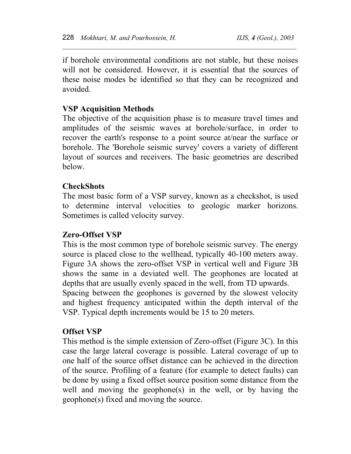if borehole environmental conditions are not stable, but these noises will not be considered. However, it is essential that the sources of these noise modes be identified so that they can be recognized and avoided.

 $\mathcal{L}_\text{max} = \mathcal{L}_\text{max} = \mathcal{L}_\text{max} = \mathcal{L}_\text{max} = \mathcal{L}_\text{max} = \mathcal{L}_\text{max} = \mathcal{L}_\text{max} = \mathcal{L}_\text{max} = \mathcal{L}_\text{max} = \mathcal{L}_\text{max} = \mathcal{L}_\text{max} = \mathcal{L}_\text{max} = \mathcal{L}_\text{max} = \mathcal{L}_\text{max} = \mathcal{L}_\text{max} = \mathcal{L}_\text{max} = \mathcal{L}_\text{max} = \mathcal{L}_\text{max} = \mathcal{$ 

# **VSP Acquisition Methods**

The objective of the acquisition phase is to measure travel times and amplitudes of the seismic waves at borehole/surface, in order to recover the earth's response to a point source at/near the surface or borehole. The 'Borehole seismic survey' covers a variety of different layout of sources and receivers. The basic geometries are described below.

## **CheckShots**

The most basic form of a VSP survey, known as a checkshot, is used to determine interval velocities to geologic marker horizons. Sometimes is called velocity survey.

### **Zero-Offset VSP**

This is the most common type of borehole seismic survey. The energy source is placed close to the wellhead, typically 40-100 meters away. Figure 3A shows the zero-offset VSP in vertical well and Figure 3B shows the same in a deviated well. The geophones are located at depths that are usually evenly spaced in the well, from TD upwards. Spacing between the geophones is governed by the slowest velocity and highest frequency anticipated within the depth interval of the VSP. Typical depth increments would be 15 to 20 meters.

### **Offset VSP**

This method is the simple extension of Zero-offset (Figure 3C). In this case the large lateral coverage is possible. Lateral coverage of up to one half of the source offset distance can be achieved in the direction of the source. Profiling of a feature (for example to detect faults) can be done by using a fixed offset source position some distance from the well and moving the geophone(s) in the well, or by having the geophone(s) fixed and moving the source.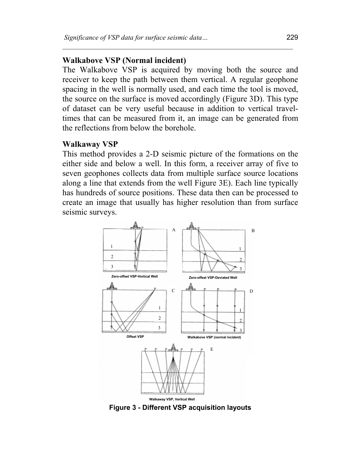#### **Walkabove VSP (Normal incident)**

The Walkabove VSP is acquired by moving both the source and receiver to keep the path between them vertical. A regular geophone spacing in the well is normally used, and each time the tool is moved, the source on the surface is moved accordingly (Figure 3D). This type of dataset can be very useful because in addition to vertical traveltimes that can be measured from it, an image can be generated from the reflections from below the borehole.

 $\mathcal{L}_\text{max} = \mathcal{L}_\text{max} = \mathcal{L}_\text{max} = \mathcal{L}_\text{max} = \mathcal{L}_\text{max} = \mathcal{L}_\text{max} = \mathcal{L}_\text{max} = \mathcal{L}_\text{max} = \mathcal{L}_\text{max} = \mathcal{L}_\text{max} = \mathcal{L}_\text{max} = \mathcal{L}_\text{max} = \mathcal{L}_\text{max} = \mathcal{L}_\text{max} = \mathcal{L}_\text{max} = \mathcal{L}_\text{max} = \mathcal{L}_\text{max} = \mathcal{L}_\text{max} = \mathcal{$ 

#### **Walkaway VSP**

This method provides a 2-D seismic picture of the formations on the either side and below a well. In this form, a receiver array of five to seven geophones collects data from multiple surface source locations along a line that extends from the well Figure 3E). Each line typically has hundreds of source positions. These data then can be processed to create an image that usually has higher resolution than from surface seismic surveys.



**Figure 3 - Different VSP acquisition layouts**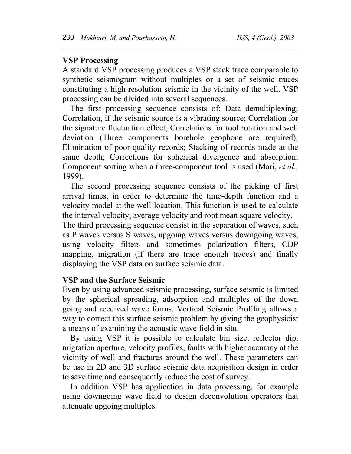## **VSP Processing**

A standard VSP processing produces a VSP stack trace comparable to synthetic seismogram without multiples or a set of seismic traces constituting a high-resolution seismic in the vicinity of the well. VSP processing can be divided into several sequences.

 $\mathcal{L}_\text{max} = \mathcal{L}_\text{max} = \mathcal{L}_\text{max} = \mathcal{L}_\text{max} = \mathcal{L}_\text{max} = \mathcal{L}_\text{max} = \mathcal{L}_\text{max} = \mathcal{L}_\text{max} = \mathcal{L}_\text{max} = \mathcal{L}_\text{max} = \mathcal{L}_\text{max} = \mathcal{L}_\text{max} = \mathcal{L}_\text{max} = \mathcal{L}_\text{max} = \mathcal{L}_\text{max} = \mathcal{L}_\text{max} = \mathcal{L}_\text{max} = \mathcal{L}_\text{max} = \mathcal{$ 

The first processing sequence consists of: Data demultiplexing; Correlation, if the seismic source is a vibrating source; Correlation for the signature fluctuation effect; Correlations for tool rotation and well deviation (Three components borehole geophone are required); Elimination of poor-quality records; Stacking of records made at the same depth; Corrections for spherical divergence and absorption; Component sorting when a three-component tool is used (Mari, *et al.,* 1999).

The second processing sequence consists of the picking of first arrival times, in order to determine the time-depth function and a velocity model at the well location. This function is used to calculate the interval velocity, average velocity and root mean square velocity.

The third processing sequence consist in the separation of waves, such as P waves versus S waves, upgoing waves versus downgoing waves, using velocity filters and sometimes polarization filters, CDP mapping, migration (if there are trace enough traces) and finally displaying the VSP data on surface seismic data.

### **VSP and the Surface Seismic**

Even by using advanced seismic processing, surface seismic is limited by the spherical spreading, adsorption and multiples of the down going and received wave forms. Vertical Seismic Profiling allows a way to correct this surface seismic problem by giving the geophysicist a means of examining the acoustic wave field in situ.

By using VSP it is possible to calculate bin size, reflector dip, migration aperture, velocity profiles, faults with higher accuracy at the vicinity of well and fractures around the well. These parameters can be use in 2D and 3D surface seismic data acquisition design in order to save time and consequently reduce the cost of survey.

In addition VSP has application in data processing, for example using downgoing wave field to design deconvolution operators that attenuate upgoing multiples.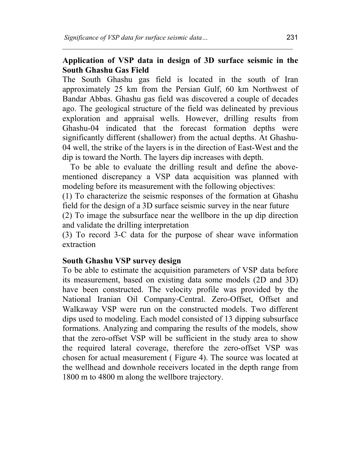# **Application of VSP data in design of 3D surface seismic in the South Ghashu Gas Field**

 $\mathcal{L}_\text{max} = \mathcal{L}_\text{max} = \mathcal{L}_\text{max} = \mathcal{L}_\text{max} = \mathcal{L}_\text{max} = \mathcal{L}_\text{max} = \mathcal{L}_\text{max} = \mathcal{L}_\text{max} = \mathcal{L}_\text{max} = \mathcal{L}_\text{max} = \mathcal{L}_\text{max} = \mathcal{L}_\text{max} = \mathcal{L}_\text{max} = \mathcal{L}_\text{max} = \mathcal{L}_\text{max} = \mathcal{L}_\text{max} = \mathcal{L}_\text{max} = \mathcal{L}_\text{max} = \mathcal{$ 

The South Ghashu gas field is located in the south of Iran approximately 25 km from the Persian Gulf, 60 km Northwest of Bandar Abbas. Ghashu gas field was discovered a couple of decades ago. The geological structure of the field was delineated by previous exploration and appraisal wells. However, drilling results from Ghashu-04 indicated that the forecast formation depths were significantly different (shallower) from the actual depths. At Ghashu-04 well, the strike of the layers is in the direction of East-West and the dip is toward the North. The layers dip increases with depth.

To be able to evaluate the drilling result and define the abovementioned discrepancy a VSP data acquisition was planned with modeling before its measurement with the following objectives:

(1) To characterize the seismic responses of the formation at Ghashu field for the design of a 3D surface seismic survey in the near future

(2) To image the subsurface near the wellbore in the up dip direction and validate the drilling interpretation

(3) To record 3-C data for the purpose of shear wave information extraction

# **South Ghashu VSP survey design**

To be able to estimate the acquisition parameters of VSP data before its measurement, based on existing data some models (2D and 3D) have been constructed. The velocity profile was provided by the National Iranian Oil Company-Central. Zero-Offset, Offset and Walkaway VSP were run on the constructed models. Two different dips used to modeling. Each model consisted of 13 dipping subsurface formations. Analyzing and comparing the results of the models, show that the zero-offset VSP will be sufficient in the study area to show the required lateral coverage, therefore the zero-offset VSP was chosen for actual measurement ( Figure 4). The source was located at the wellhead and downhole receivers located in the depth range from 1800 m to 4800 m along the wellbore trajectory.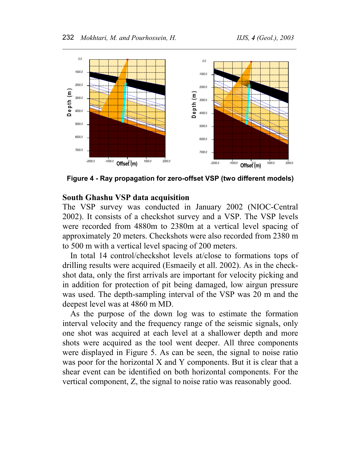

**Figure 4 - Ray propagation for zero-offset VSP (two different models)** 

## **South Ghashu VSP data acquisition**

The VSP survey was conducted in January 2002 (NIOC-Central 2002). It consists of a checkshot survey and a VSP. The VSP levels were recorded from 4880m to 2380m at a vertical level spacing of approximately 20 meters. Checkshots were also recorded from 2380 m to 500 m with a vertical level spacing of 200 meters.

In total 14 control/checkshot levels at/close to formations tops of drilling results were acquired (Esmaeily et all. 2002). As in the checkshot data, only the first arrivals are important for velocity picking and in addition for protection of pit being damaged, low airgun pressure was used. The depth-sampling interval of the VSP was 20 m and the deepest level was at 4860 m MD.

As the purpose of the down log was to estimate the formation interval velocity and the frequency range of the seismic signals, only one shot was acquired at each level at a shallower depth and more shots were acquired as the tool went deeper. All three components were displayed in Figure 5. As can be seen, the signal to noise ratio was poor for the horizontal X and Y components. But it is clear that a shear event can be identified on both horizontal components. For the vertical component, Z, the signal to noise ratio was reasonably good.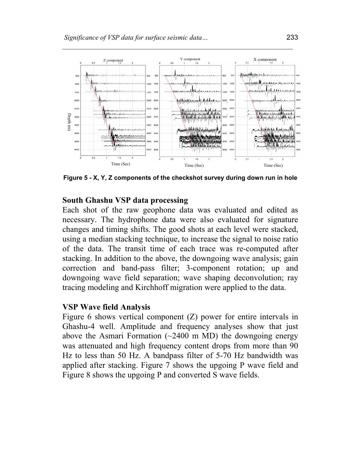

**Figure 5 - X, Y, Z components of the checkshot survey during down run in hole** 

#### **South Ghashu VSP data processing**

Each shot of the raw geophone data was evaluated and edited as necessary. The hydrophone data were also evaluated for signature changes and timing shifts. The good shots at each level were stacked, using a median stacking technique, to increase the signal to noise ratio of the data. The transit time of each trace was re-computed after stacking. In addition to the above, the downgoing wave analysis; gain correction and band-pass filter; 3-component rotation; up and downgoing wave field separation; wave shaping deconvolution; ray tracing modeling and Kirchhoff migration were applied to the data.

#### **VSP Wave field Analysis**

Figure 6 shows vertical component (Z) power for entire intervals in Ghashu-4 well. Amplitude and frequency analyses show that just above the Asmari Formation  $(\sim 2400 \text{ m } \text{MD})$  the downgoing energy was attenuated and high frequency content drops from more than 90 Hz to less than 50 Hz. A bandpass filter of 5-70 Hz bandwidth was applied after stacking. Figure 7 shows the upgoing P wave field and Figure 8 shows the upgoing P and converted S wave fields.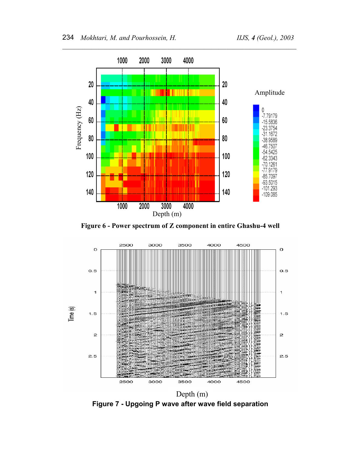

**Figure 6 - Power spectrum of Z component in entire Ghashu-4 well**



**Figure 7 - Upgoing P wave after wave field separation**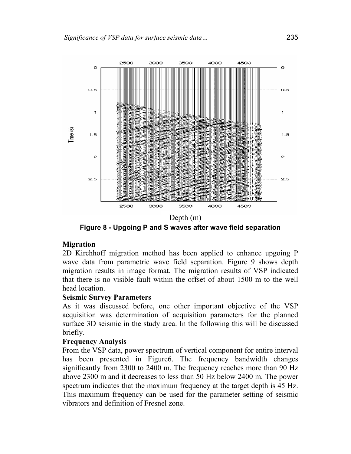

 $\mathcal{L}_\text{max} = \mathcal{L}_\text{max} = \mathcal{L}_\text{max} = \mathcal{L}_\text{max} = \mathcal{L}_\text{max} = \mathcal{L}_\text{max} = \mathcal{L}_\text{max} = \mathcal{L}_\text{max} = \mathcal{L}_\text{max} = \mathcal{L}_\text{max} = \mathcal{L}_\text{max} = \mathcal{L}_\text{max} = \mathcal{L}_\text{max} = \mathcal{L}_\text{max} = \mathcal{L}_\text{max} = \mathcal{L}_\text{max} = \mathcal{L}_\text{max} = \mathcal{L}_\text{max} = \mathcal{$ 

**Figure 8 - Upgoing P and S waves after wave field separation** 

### **Migration**

2D Kirchhoff migration method has been applied to enhance upgoing P wave data from parametric wave field separation. Figure 9 shows depth migration results in image format. The migration results of VSP indicated that there is no visible fault within the offset of about 1500 m to the well head location.

### **Seismic Survey Parameters**

As it was discussed before, one other important objective of the VSP acquisition was determination of acquisition parameters for the planned surface 3D seismic in the study area. In the following this will be discussed briefly.

# **Frequency Analysis**

From the VSP data, power spectrum of vertical component for entire interval has been presented in Figure6. The frequency bandwidth changes significantly from 2300 to 2400 m. The frequency reaches more than 90 Hz above 2300 m and it decreases to less than 50 Hz below 2400 m. The power spectrum indicates that the maximum frequency at the target depth is 45 Hz. This maximum frequency can be used for the parameter setting of seismic vibrators and definition of Fresnel zone.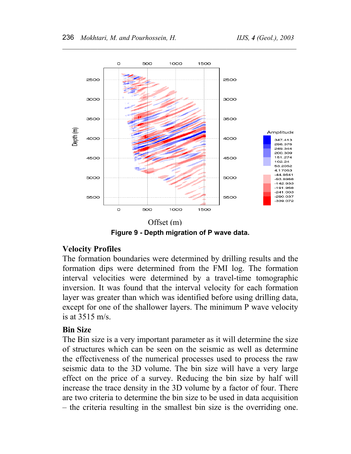![](_page_13_Figure_2.jpeg)

 $\mathcal{L}_\text{max} = \mathcal{L}_\text{max} = \mathcal{L}_\text{max} = \mathcal{L}_\text{max} = \mathcal{L}_\text{max} = \mathcal{L}_\text{max} = \mathcal{L}_\text{max} = \mathcal{L}_\text{max} = \mathcal{L}_\text{max} = \mathcal{L}_\text{max} = \mathcal{L}_\text{max} = \mathcal{L}_\text{max} = \mathcal{L}_\text{max} = \mathcal{L}_\text{max} = \mathcal{L}_\text{max} = \mathcal{L}_\text{max} = \mathcal{L}_\text{max} = \mathcal{L}_\text{max} = \mathcal{$ 

**Figure 9 - Depth migration of P wave data.** 

# **Velocity Profiles**

The formation boundaries were determined by drilling results and the formation dips were determined from the FMI log. The formation interval velocities were determined by a travel-time tomographic inversion. It was found that the interval velocity for each formation layer was greater than which was identified before using drilling data, except for one of the shallower layers. The minimum P wave velocity is at 3515 m/s.

# **Bin Size**

The Bin size is a very important parameter as it will determine the size of structures which can be seen on the seismic as well as determine the effectiveness of the numerical processes used to process the raw seismic data to the 3D volume. The bin size will have a very large effect on the price of a survey. Reducing the bin size by half will increase the trace density in the 3D volume by a factor of four. There are two criteria to determine the bin size to be used in data acquisition – the criteria resulting in the smallest bin size is the overriding one.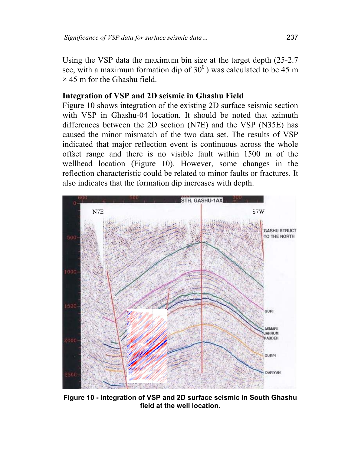Using the VSP data the maximum bin size at the target depth (25-2.7 sec, with a maximum formation dip of  $30^0$ ) was calculated to be 45 m  $\times$  45 m for the Ghashu field.

 $\mathcal{L}_\text{max} = \mathcal{L}_\text{max} = \mathcal{L}_\text{max} = \mathcal{L}_\text{max} = \mathcal{L}_\text{max} = \mathcal{L}_\text{max} = \mathcal{L}_\text{max} = \mathcal{L}_\text{max} = \mathcal{L}_\text{max} = \mathcal{L}_\text{max} = \mathcal{L}_\text{max} = \mathcal{L}_\text{max} = \mathcal{L}_\text{max} = \mathcal{L}_\text{max} = \mathcal{L}_\text{max} = \mathcal{L}_\text{max} = \mathcal{L}_\text{max} = \mathcal{L}_\text{max} = \mathcal{$ 

## **Integration of VSP and 2D seismic in Ghashu Field**

Figure 10 shows integration of the existing 2D surface seismic section with VSP in Ghashu-04 location. It should be noted that azimuth differences between the 2D section (N7E) and the VSP (N35E) has caused the minor mismatch of the two data set. The results of VSP indicated that major reflection event is continuous across the whole offset range and there is no visible fault within 1500 m of the wellhead location (Figure 10). However, some changes in the reflection characteristic could be related to minor faults or fractures. It also indicates that the formation dip increases with depth.

![](_page_14_Figure_4.jpeg)

**Figure 10 - Integration of VSP and 2D surface seismic in South Ghashu field at the well location.**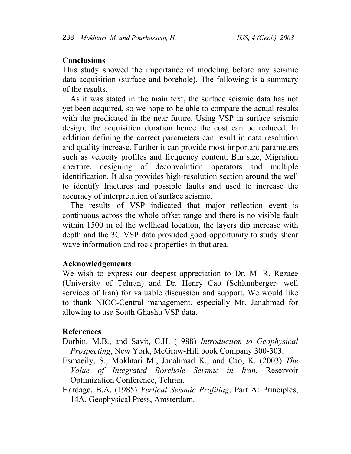#### **Conclusions**

This study showed the importance of modeling before any seismic data acquisition (surface and borehole). The following is a summary of the results.

 $\mathcal{L}_\text{max} = \mathcal{L}_\text{max} = \mathcal{L}_\text{max} = \mathcal{L}_\text{max} = \mathcal{L}_\text{max} = \mathcal{L}_\text{max} = \mathcal{L}_\text{max} = \mathcal{L}_\text{max} = \mathcal{L}_\text{max} = \mathcal{L}_\text{max} = \mathcal{L}_\text{max} = \mathcal{L}_\text{max} = \mathcal{L}_\text{max} = \mathcal{L}_\text{max} = \mathcal{L}_\text{max} = \mathcal{L}_\text{max} = \mathcal{L}_\text{max} = \mathcal{L}_\text{max} = \mathcal{$ 

As it was stated in the main text, the surface seismic data has not yet been acquired, so we hope to be able to compare the actual results with the predicated in the near future. Using VSP in surface seismic design, the acquisition duration hence the cost can be reduced. In addition defining the correct parameters can result in data resolution and quality increase. Further it can provide most important parameters such as velocity profiles and frequency content, Bin size, Migration aperture, designing of deconvolution operators and multiple identification. It also provides high-resolution section around the well to identify fractures and possible faults and used to increase the accuracy of interpretation of surface seismic.

The results of VSP indicated that major reflection event is continuous across the whole offset range and there is no visible fault within 1500 m of the wellhead location, the layers dip increase with depth and the 3C VSP data provided good opportunity to study shear wave information and rock properties in that area.

#### **Acknowledgements**

We wish to express our deepest appreciation to Dr. M. R. Rezaee (University of Tehran) and Dr. Henry Cao (Schlumberger- well services of Iran) for valuable discussion and support. We would like to thank NIOC-Central management, especially Mr. Janahmad for allowing to use South Ghashu VSP data.

### **References**

Dorbin, M.B., and Savit, C.H. (1988) *Introduction to Geophysical Prospecting*, New York, McGraw-Hill book Company 300-303.

Esmaeily, S., Mokhtari M., Janahmad K., and Cao, K. (2003) *The Value of Integrated Borehole Seismic in Iran*, Reservoir Optimization Conference, Tehran.

Hardage, B.A. (1985) *Vertical Seismic Profiling*, Part A: Principles, 14A, Geophysical Press, Amsterdam.